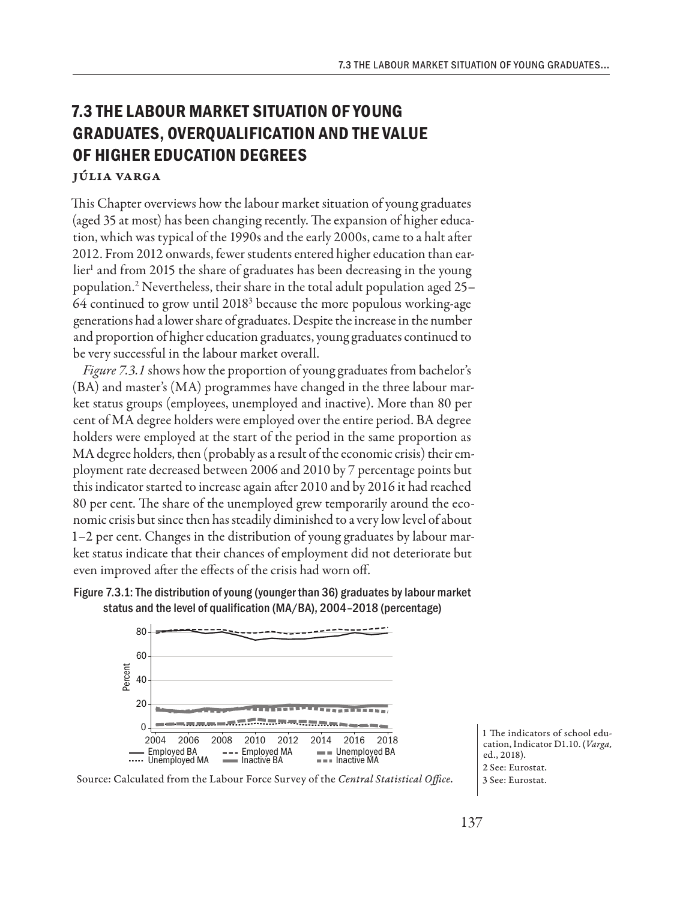## **7.3 THE LABOUR MARKET SITUATION OF YOUNG GRADUATES, OVERQUALIFICATION AND THE VALUE OF HIGHER EDUCATION DEGREES**

## Júlia Varga

This Chapter overviews how the labour market situation of young graduates (aged 35 at most) has been changing recently. The expansion of higher education, which was typical of the 1990s and the early 2000s, came to a halt after 2012. From 2012 onwards, fewer students entered higher education than earlier<sup>1</sup> and from 2015 the share of graduates has been decreasing in the young population.2 Nevertheless, their share in the total adult population aged 25– 64 continued to grow until 20183 because the more populous working-age generations had a lower share of graduates. Despite the increase in the number and proportion of higher education graduates, young graduates continued to be very successful in the labour market overall.

*Figure 7.3.1* shows how the proportion of young graduates from bachelor's (BA) and master's (MA) programmes have changed in the three labour market status groups (employees, unemployed and inactive). More than 80 per cent of MA degree holders were employed over the entire period. BA degree holders were employed at the start of the period in the same proportion as MA degree holders, then (probably as a result of the economic crisis) their employment rate decreased between 2006 and 2010 by 7 percentage points but this indicator started to increase again after 2010 and by 2016 it had reached 80 per cent. The share of the unemployed grew temporarily around the economic crisis but since then has steadily diminished to a very low level of about 1–2 per cent. Changes in the distribution of young graduates by labour market status indicate that their chances of employment did not deteriorate but even improved after the effects of the crisis had worn off.



Figure 7.3.1: The distribution of young (younger than 36) graduates by labour market status and the level of qualification (MA/BA), 2004–2018 (percentage)



Source: Calculated from the Labour Force Survey of the *Central Statistical Office*.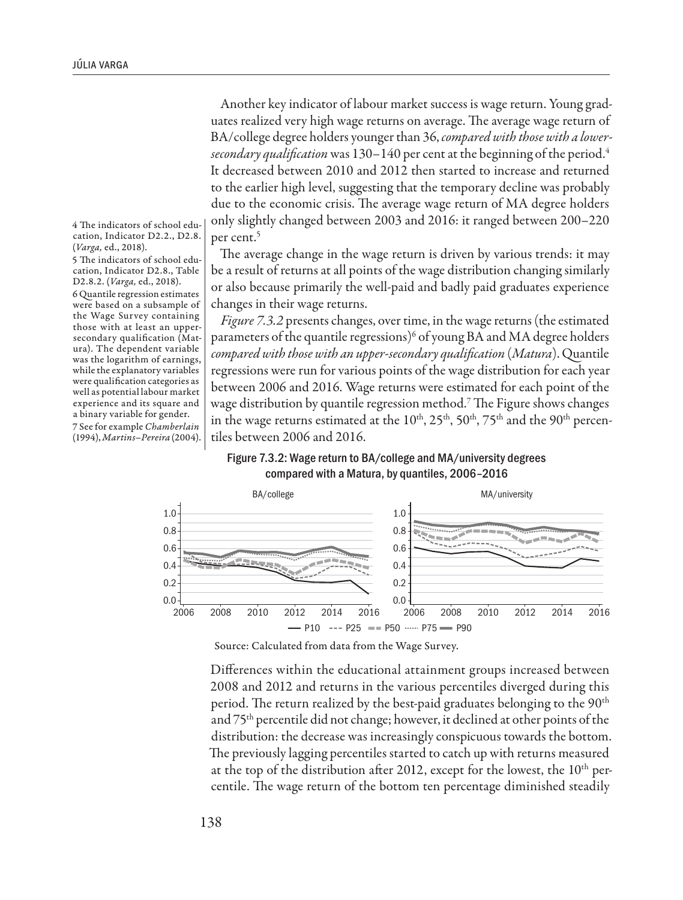Another key indicator of labour market success is wage return. Young graduates realized very high wage returns on average. The average wage return of BA/college degree holders younger than 36, *compared with those with a lowersecondary qualification* was 130–140 per cent at the beginning of the period.4 It decreased between 2010 and 2012 then started to increase and returned to the earlier high level, suggesting that the temporary decline was probably due to the economic crisis. The average wage return of MA degree holders only slightly changed between 2003 and 2016: it ranged between 200–220 per cent.<sup>5</sup>

The average change in the wage return is driven by various trends: it may be a result of returns at all points of the wage distribution changing similarly or also because primarily the well-paid and badly paid graduates experience changes in their wage returns.

*Figure 7.3.2* presents changes, over time, in the wage returns (the estimated parameters of the quantile regressions) $^6$  of young BA and MA degree holders *compared with those with an upper-secondary qualification* (*Matura*). Quantile regressions were run for various points of the wage distribution for each year between 2006 and 2016. Wage returns were estimated for each point of the wage distribution by quantile regression method.7 The Figure shows changes in the wage returns estimated at the  $10<sup>th</sup>$ ,  $25<sup>th</sup>$ ,  $50<sup>th</sup>$ ,  $75<sup>th</sup>$  and the  $90<sup>th</sup>$  percentiles between 2006 and 2016.





Source: Calculated from data from the Wage Survey.

Differences within the educational attainment groups increased between 2008 and 2012 and returns in the various percentiles diverged during this period. The return realized by the best-paid graduates belonging to the 90<sup>th</sup> and 75th percentile did not change; however, it declined at other points of the distribution: the decrease was increasingly conspicuous towards the bottom. The previously lagging percentiles started to catch up with returns measured at the top of the distribution after 2012, except for the lowest, the  $10<sup>th</sup>$  percentile. The wage return of the bottom ten percentage diminished steadily

4 The indicators of school education, Indicator D2.2., D2.8. (*Varga,* ed., 2018).

5 The indicators of school education, Indicator D2.8., Table D2.8.2. (*Varga,* ed., 2018).

6 Quantile regression estimates were based on a subsample of the Wage Survey containing those with at least an uppersecondary qualification (Matura). The dependent variable was the logarithm of earnings, while the explanatory variables were qualification categories as well as potential labour market experience and its square and a binary variable for gender. 7 See for example *Chamberlain* (1994), *Martins–Pereira* (2004).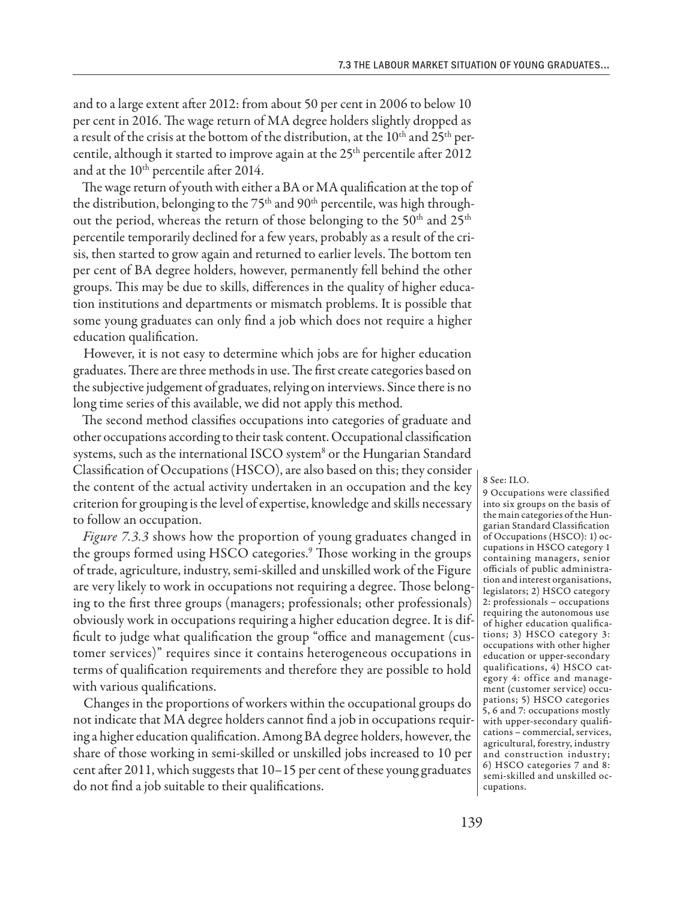and to a large extent after 2012: from about 50 per cent in 2006 to below 10 per cent in 2016. The wage return of MA degree holders slightly dropped as a result of the crisis at the bottom of the distribution, at the 10<sup>th</sup> and 25<sup>th</sup> percentile, although it started to improve again at the 25<sup>th</sup> percentile after 2012 and at the 10<sup>th</sup> percentile after 2014.

The wage return of youth with either a BA or MA qualification at the top of the distribution, belonging to the  $75<sup>th</sup>$  and  $90<sup>th</sup>$  percentile, was high throughout the period, whereas the return of those belonging to the 50<sup>th</sup> and 25<sup>th</sup> percentile temporarily declined for a few years, probably as a result of the crisis, then started to grow again and returned to earlier levels. The bottom ten per cent of BA degree holders, however, permanently fell behind the other groups. This may be due to skills, differences in the quality of higher education institutions and departments or mismatch problems. It is possible that some young graduates can only find a job which does not require a higher education qualification.

However, it is not easy to determine which jobs are for higher education graduates. There are three methods in use. The first create categories based on the subjective judgement of graduates, relying on interviews. Since there is no long time series of this available, we did not apply this method.

The second method classifies occupations into categories of graduate and other occupations according to their task content. Occupational classification systems, such as the international ISCO system<sup>8</sup> or the Hungarian Standard Classification of Occupations (HSCO), are also based on this; they consider the content of the actual activity undertaken in an occupation and the key criterion for grouping is the level of expertise, knowledge and skills necessary to follow an occupation.

*Figure 7.3.3* shows how the proportion of young graduates changed in the groups formed using HSCO categories.<sup>9</sup> Those working in the groups of trade, agriculture, industry, semi-skilled and unskilled work of the Figure are very likely to work in occupations not requiring a degree. Those belonging to the first three groups (managers; professionals; other professionals) obviously work in occupations requiring a higher education degree. It is difficult to judge what qualification the group "office and management (customer services)" requires since it contains heterogeneous occupations in terms of qualification requirements and therefore they are possible to hold with various qualifications.

Changes in the proportions of workers within the occupational groups do not indicate that MA degree holders cannot find a job in occupations requiring a higher education qualification. Among BA degree holders, however, the share of those working in semi-skilled or unskilled jobs increased to 10 per cent after 2011, which suggests that 10–15 per cent of these young graduates do not find a job suitable to their qualifications.

8 See: ILO.

9 Occupations were classified into six groups on the basis of the main categories of the Hungarian Standard Classification of Occupations (HSCO): 1) occupations in HSCO category 1 containing managers, senior officials of public administration and interest organisations, legislators; 2) HSCO category 2: professionals – occupations requiring the autonomous use of higher education qualifications; 3) HSCO category 3: occupations with other higher education or upper-secondary qualifications, 4) HSCO category 4: office and management (customer service) occupations; 5) HSCO categories 5, 6 and 7: occupations mostly with upper-secondary qualifications – commercial, services, agricultural, forestry, industry and construction industry; 6) HSCO categories 7 and 8: semi-skilled and unskilled occupations.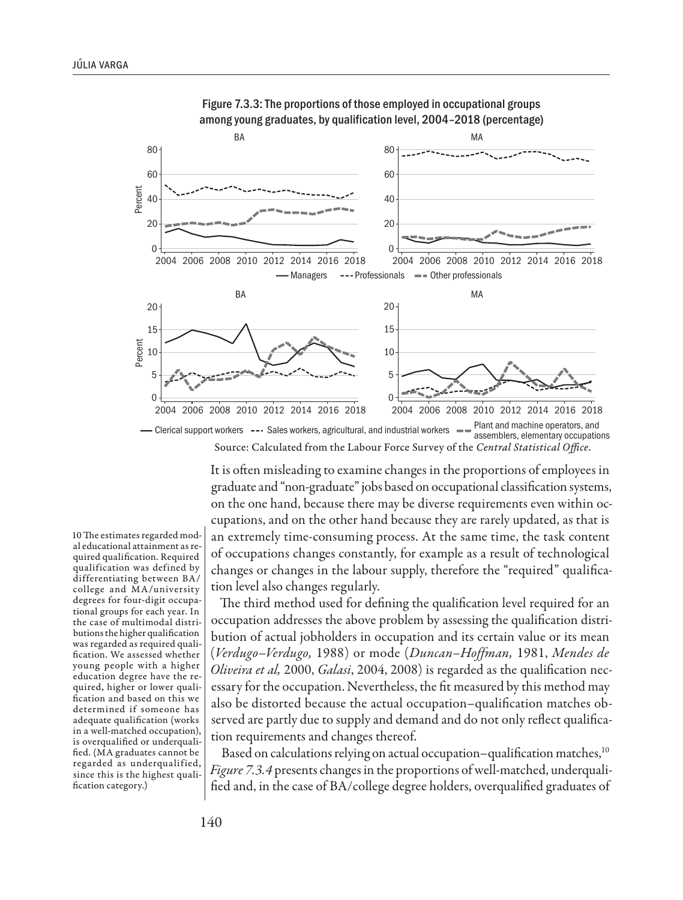

Figure 7.3.3: The proportions of those employed in occupational groups among young graduates, by qualification level, 2004–2018 (percentage)

Clerical support workers --- Sales workers, agricultural, and industrial workers  $-$  Plant and machine operators, and assemblers, elementary occupations Source: Calculated from the Labour Force Survey of the *Central Statistical Office*.

> It is often misleading to examine changes in the proportions of employees in graduate and "non-graduate" jobs based on occupational classification systems, on the one hand, because there may be diverse requirements even within occupations, and on the other hand because they are rarely updated, as that is an extremely time-consuming process. At the same time, the task content of occupations changes constantly, for example as a result of technological changes or changes in the labour supply, therefore the "required" qualification level also changes regularly.

> The third method used for defining the qualification level required for an occupation addresses the above problem by assessing the qualification distribution of actual jobholders in occupation and its certain value or its mean (*Verdugo–Verdugo,* 1988) or mode (*Duncan–Hoffman,* 1981, *Mendes de Oliveira et al,* 2000, *Galasi*, 2004, 2008) is regarded as the qualification necessary for the occupation. Nevertheless, the fit measured by this method may also be distorted because the actual occupation–qualification matches observed are partly due to supply and demand and do not only reflect qualification requirements and changes thereof.

> Based on calculations relying on actual occupation–qualification matches,  $10$ *Figure 7.3.4* presents changes in the proportions of well-matched, underqualified and, in the case of BA/college degree holders, overqualified graduates of

10 The estimates regarded modal educational attainment as required qualification. Required qualification was defined by differentiating between BA/ college and MA/university degrees for four-digit occupational groups for each year. In the case of multimodal distributions the higher qualification was regarded as required qualification. We assessed whether young people with a higher education degree have the required, higher or lower qualification and based on this we determined if someone has adequate qualification (works in a well-matched occupation), is overqualified or underqualified. (MA graduates cannot be regarded as underqualified, since this is the highest qualification category.)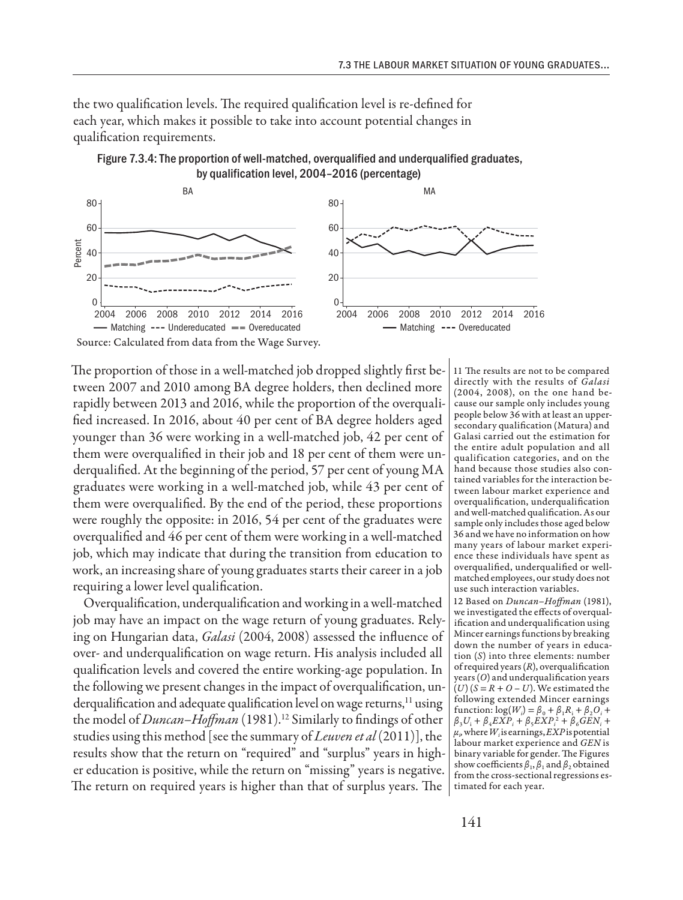the two qualification levels. The required qualification level is re-defined for each year, which makes it possible to take into account potential changes in qualification requirements.



Figure 7.3.4: The proportion of well-matched, overqualified and underqualified graduates, by qualification level, 2004–2016 (percentage)

Source: Calculated from data from the Wage Survey.

The proportion of those in a well-matched job dropped slightly first between 2007 and 2010 among BA degree holders, then declined more rapidly between 2013 and 2016, while the proportion of the overqualified increased. In 2016, about 40 per cent of BA degree holders aged younger than 36 were working in a well-matched job, 42 per cent of them were overqualified in their job and 18 per cent of them were underqualified. At the beginning of the period, 57 per cent of young MA graduates were working in a well-matched job, while 43 per cent of them were overqualified. By the end of the period, these proportions were roughly the opposite: in 2016, 54 per cent of the graduates were overqualified and 46 per cent of them were working in a well-matched job, which may indicate that during the transition from education to work, an increasing share of young graduates starts their career in a job requiring a lower level qualification.

Overqualification, underqualification and working in a well-matched job may have an impact on the wage return of young graduates. Relying on Hungarian data, *Galasi* (2004, 2008) assessed the influence of over- and underqualification on wage return. His analysis included all qualification levels and covered the entire working-age population. In the following we present changes in the impact of overqualification, underqualification and adequate qualification level on wage returns,<sup>11</sup> using the model of *Duncan-Hoffman* (1981).<sup>12</sup> Similarly to findings of other studies using this method [see the summary of *Leuven et al* (2011)], the results show that the return on "required" and "surplus" years in higher education is positive, while the return on "missing" years is negative. The return on required years is higher than that of surplus years. The

11 The results are not to be compared directly with the results of *Galasi* (2004, 2008), on the one hand because our sample only includes young people below 36 with at least an uppersecondary qualification (Matura) and Galasi carried out the estimation for the entire adult population and all qualification categories, and on the hand because those studies also contained variables for the interaction between labour market experience and overqualification, underqualification and well-matched qualification. As our sample only includes those aged below 36 and we have no information on how many years of labour market experience these individuals have spent as overqualified, underqualified or wellmatched employees, our study does not use such interaction variables.

12 Based on *Duncan–Hoffman* (1981), we investigated the effects of overqualification and underqualification using Mincer earnings functions by breaking down the number of years in education (*S*) into three elements: number of required years (*R*), overqualification years (*O*) and underqualification years  $(U)(S = R + O - U)$ . We estimated the following extended Mincer earnings  $\text{function: } \log(W_i) = \beta_0 + \beta_1 R_i + \beta_2 O_i +$  $β_3U_i + β_4EXP_i + β_5EXP_i^2 + β_6GEN_i +$  $\mu_{p}$  where  $W_{i}$  is earnings,  $EXP$  is potential labour market experience and *GEN* is binary variable for gender. The Figures show coefficients  $β_1, β_1$  and  $β_2$  obtained from the cross-sectional regressions estimated for each year.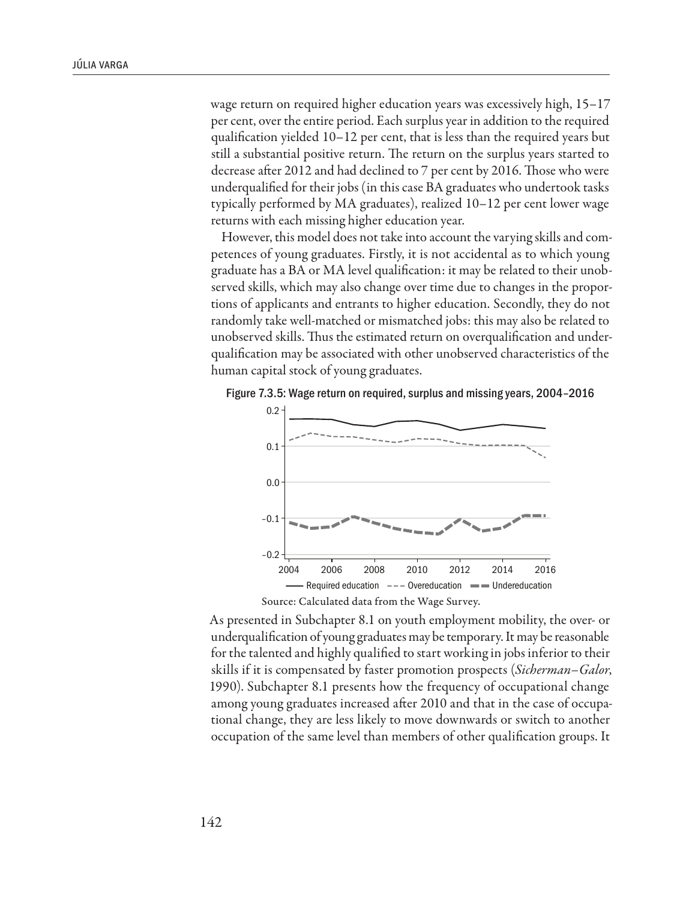wage return on required higher education years was excessively high, 15–17 per cent, over the entire period. Each surplus year in addition to the required qualification yielded 10–12 per cent, that is less than the required years but still a substantial positive return. The return on the surplus years started to decrease after 2012 and had declined to 7 per cent by 2016. Those who were underqualified for their jobs (in this case BA graduates who undertook tasks typically performed by MA graduates), realized 10–12 per cent lower wage returns with each missing higher education year.

However, this model does not take into account the varying skills and competences of young graduates. Firstly, it is not accidental as to which young graduate has a BA or MA level qualification: it may be related to their unobserved skills, which may also change over time due to changes in the proportions of applicants and entrants to higher education. Secondly, they do not randomly take well-matched or mismatched jobs: this may also be related to unobserved skills. Thus the estimated return on overqualification and underqualification may be associated with other unobserved characteristics of the human capital stock of young graduates.

Figure 7.3.5: Wage return on required, surplus and missing years, 2004–2016



As presented in Subchapter 8.1 on youth employment mobility, the over- or underqualification of young graduates may be temporary. It may be reasonable for the talented and highly qualified to start working in jobs inferior to their skills if it is compensated by faster promotion prospects (*Sicherman–Galor*, 1990). Subchapter 8.1 presents how the frequency of occupational change among young graduates increased after 2010 and that in the case of occupational change, they are less likely to move downwards or switch to another occupation of the same level than members of other qualification groups. It